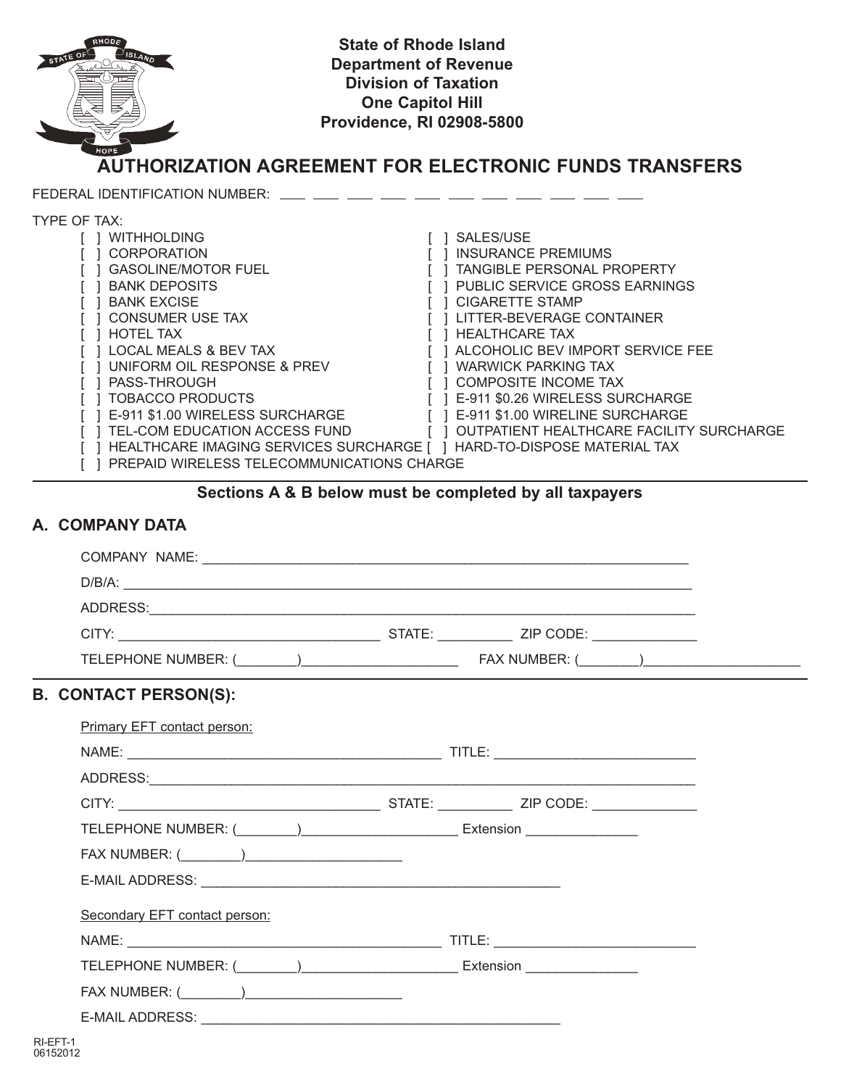

- [ ] UNIFORM OIL RESPONSE & PREV [ ] WARWICK PARKING TAX
- 
- [ ] PASS-THROUGH [ ] COMPOSITE INCOME TAX<br>[ ] TOBACCO PRODUCTS [ ] E-911 \$0.26 WIRELESS SUI
- [ ] TOBACCO PRODUCTS [ ] E-911 \$0.26 WIRELESS SURCHARGE<br>[ ] E-911 \$1.00 WIRELESS SURCHARGE [ ] E-911 \$1.00 WIRELINE SURCHARGE
- [ ] TEL-COM EDUCATION ACCESS FUND [ ] OUTPATIENT HEALTHCARE FACILITY SURCHARGE
- [ ] HEALTHCARE IMAGING SERVICES SURCHARGE [ ] HARD-TO-DISPOSE MATERIAL TAX
- [ ] PREPAID WIRELESS TELECOMMUNICATIONS CHARGE

# **Sections A & B below must be completed by all taxpayers**

[ ] E-911 \$1.00 WIRELINE SURCHARGE

# **A. COMPANY DATA**

| <b>B. CONTACT PERSON(S):</b>  |                                                                                  |
|-------------------------------|----------------------------------------------------------------------------------|
| Primary EFT contact person:   |                                                                                  |
|                               |                                                                                  |
|                               |                                                                                  |
|                               |                                                                                  |
|                               |                                                                                  |
|                               |                                                                                  |
|                               |                                                                                  |
| Secondary EFT contact person: |                                                                                  |
|                               |                                                                                  |
|                               | TELEPHONE NUMBER: (________)___________________________ Extension ______________ |
|                               |                                                                                  |
|                               |                                                                                  |
|                               |                                                                                  |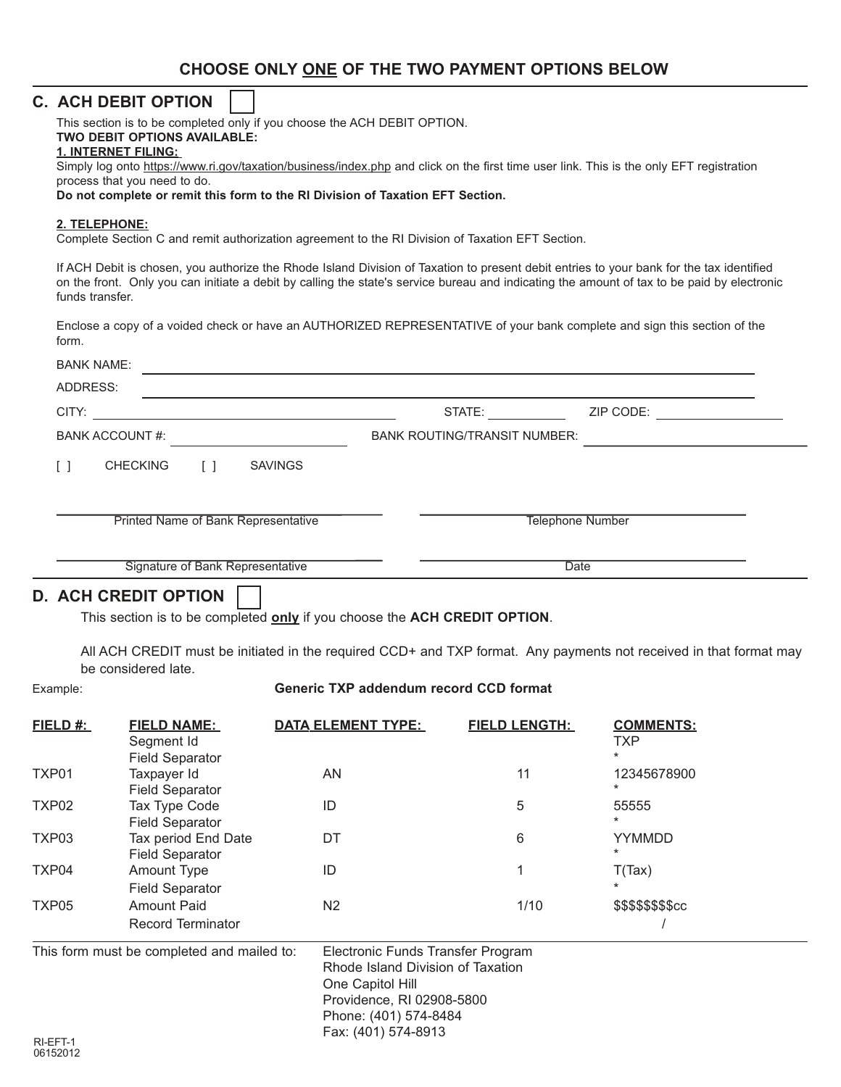# **CHOOSE ONLY ONE OF THE TWO PAYMENT OPTIONS BELOW**

# **C. ACH DEBIT OPTION**

This section is to be completed only if you choose the ACH DEBIT OPTION.

#### **TWO DEBIT OPTIONS AVAILABLE:**

#### **1. INTERNET FILING:**

Simply log onto https://www.ri.gov/taxation/business/index.php and click on the first time user link. This is the only EFT registration process that you need to do.

**Do not complete or remit this form to the RI Division of Taxation EFT Section.**

#### **2. TELEPHONE:**

Complete Section C and remit authorization agreement to the RI Division of Taxation EFT Section.

If ACH Debit is chosen, you authorize the Rhode Island Division of Taxation to present debit entries to your bank for the tax identified on the front. Only you can initiate a debit by calling the state's service bureau and indicating the amount of tax to be paid by electronic funds transfer.

Enclose a copy of a voided check or have an AUTHORIZED REPRESENTATIVE of your bank complete and sign this section of the form.

|                                     | <b>BANK NAME:</b> |        |                                     |                         |           |  |
|-------------------------------------|-------------------|--------|-------------------------------------|-------------------------|-----------|--|
| ADDRESS:                            |                   |        |                                     |                         |           |  |
| CITY:                               |                   |        |                                     | STATE:                  | ZIP CODE: |  |
| <b>BANK ACCOUNT #:</b>              |                   |        | <b>BANK ROUTING/TRANSIT NUMBER:</b> |                         |           |  |
| Γl                                  | <b>CHECKING</b>   | $\Box$ | <b>SAVINGS</b>                      |                         |           |  |
| Printed Name of Bank Representative |                   |        |                                     | <b>Telephone Number</b> |           |  |
| Signature of Bank Representative    |                   |        |                                     | <b>Date</b>             |           |  |

# **D. ACH CREDIT OPTION**

This section is to be completed **only** if you choose the **ACH CREDIT OPTION**.

All ACH CREDIT must be initiated in the required CCD+ and TXP format. Any payments not received in that format may be considered late.

#### Example: **Generic TXP addendum record CCD format**

| FIELD #:                                   | <b>FIELD NAME:</b><br>Segment Id<br><b>Field Separator</b> | <b>DATA ELEMENT TYPE:</b> | <b>FIELD LENGTH:</b>                                                                                                         | <b>COMMENTS:</b><br><b>TXP</b><br>$\star$ |  |
|--------------------------------------------|------------------------------------------------------------|---------------------------|------------------------------------------------------------------------------------------------------------------------------|-------------------------------------------|--|
| TXP01                                      | Taxpayer Id<br><b>Field Separator</b>                      | AN                        | 11                                                                                                                           | 12345678900<br>$^\star$                   |  |
| TXP02                                      | Tax Type Code<br><b>Field Separator</b>                    | ID                        | 5                                                                                                                            | 55555<br>$\star$                          |  |
| TXP03                                      | Tax period End Date<br><b>Field Separator</b>              | DT                        | 6                                                                                                                            | <b>YYMMDD</b><br>$\ast$                   |  |
| TXP04                                      | Amount Type<br><b>Field Separator</b>                      | ID                        |                                                                                                                              | T(Tax)<br>$\ast$                          |  |
| TXP05                                      | <b>Amount Paid</b><br><b>Record Terminator</b>             | N <sub>2</sub>            | 1/10                                                                                                                         | \$\$\$\$\$\$\$\$cc                        |  |
| This form must be completed and mailed to: |                                                            | One Capitol Hill          | Electronic Funds Transfer Program<br>Rhode Island Division of Taxation<br>Providence, RI 02908-5800<br>Phone: (401) 574-8484 |                                           |  |
| RI-EFT-1                                   |                                                            | Fax: (401) 574-8913       |                                                                                                                              |                                           |  |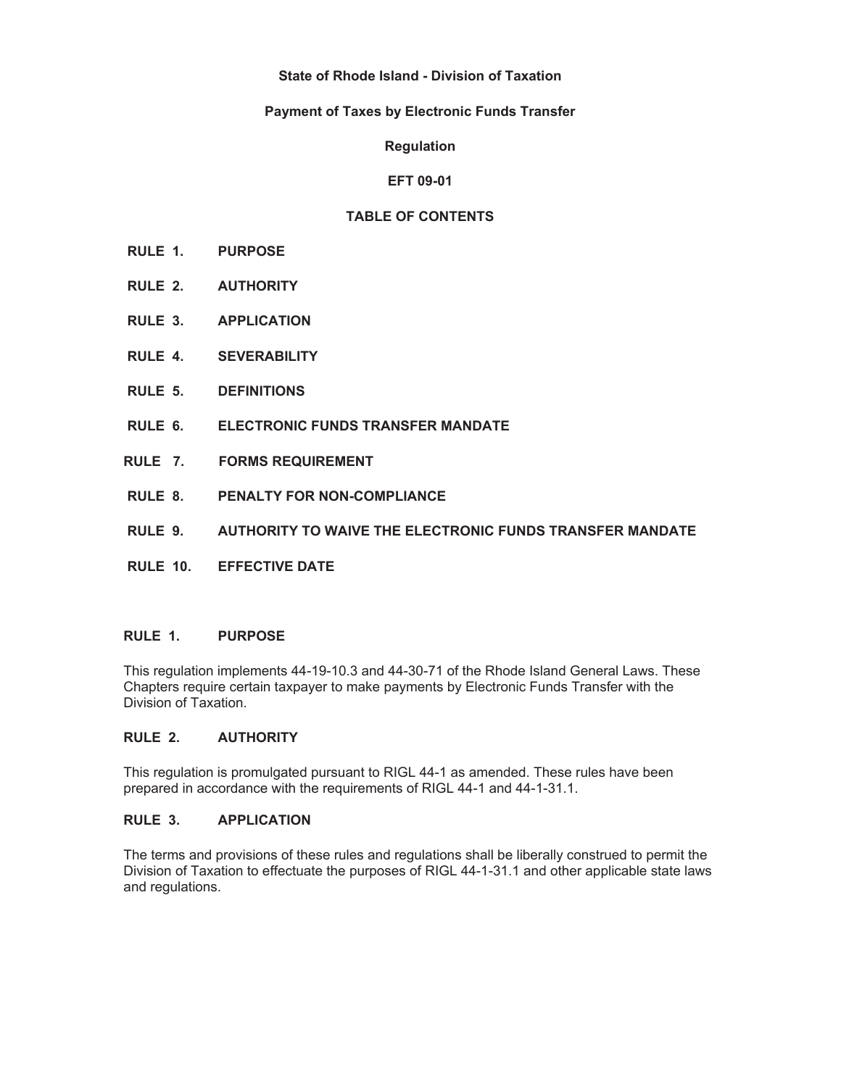## **State of Rhode Island - Division of Taxation**

## **Payment of Taxes by Electronic Funds Transfer**

**Regulation** 

## **EFT 09-01**

## **TABLE OF CONTENTS**

- **RULE 1. PURPOSE**
- **RULE 2. AUTHORITY**
- **RULE 3. APPLICATION**
- **RULE 4. SEVERABILITY**
- **RULE 5. DEFINITIONS**
- **RULE 6. ELECTRONIC FUNDS TRANSFER MANDATE**
- **RULE 7. FORMS REQUIREMENT**
- **RULE 8. PENALTY FOR NON-COMPLIANCE**
- **RULE 9. AUTHORITY TO WAIVE THE ELECTRONIC FUNDS TRANSFER MANDATE**
- **RULE 10. EFFECTIVE DATE**

# **RULE 1. PURPOSE**

This regulation implements 44-19-10.3 and 44-30-71 of the Rhode Island General Laws. These Chapters require certain taxpayer to make payments by Electronic Funds Transfer with the Division of Taxation.

#### **RULE 2. AUTHORITY**

This regulation is promulgated pursuant to RIGL 44-1 as amended. These rules have been prepared in accordance with the requirements of RIGL 44-1 and 44-1-31.1.

#### **RULE 3. APPLICATION**

The terms and provisions of these rules and regulations shall be liberally construed to permit the Division of Taxation to effectuate the purposes of RIGL 44-1-31.1 and other applicable state laws and regulations.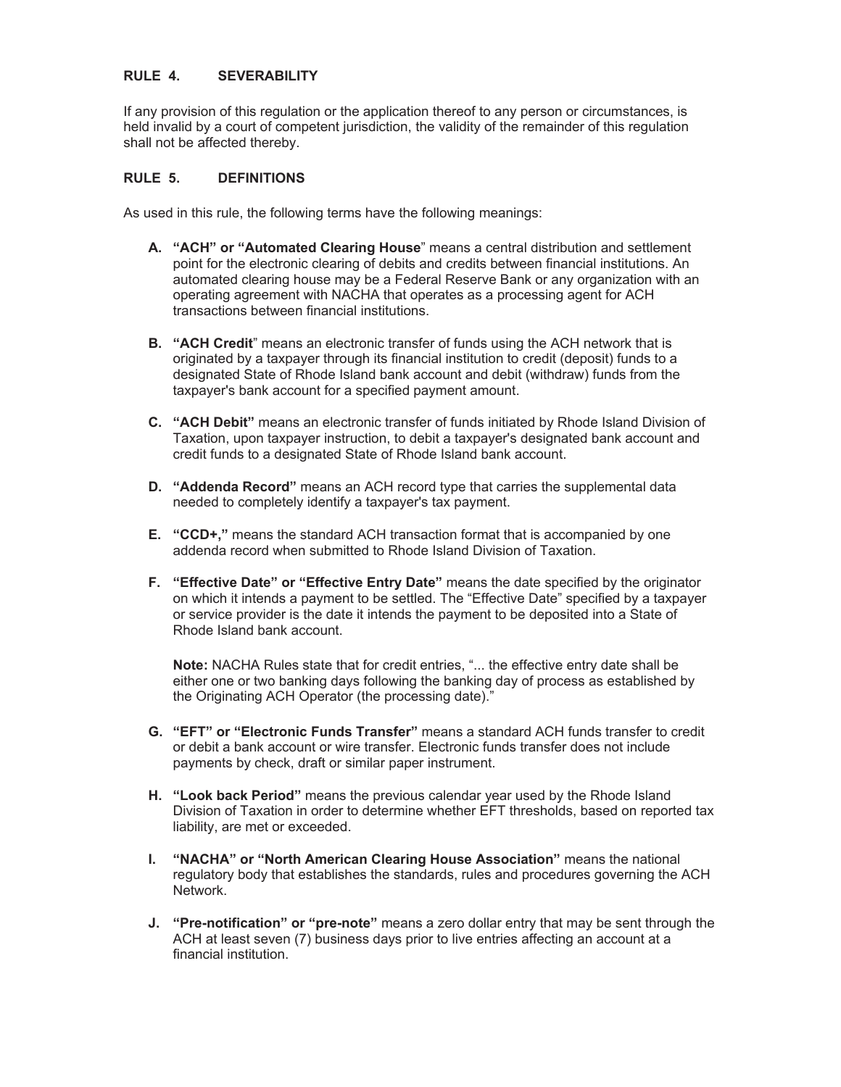## **RULE 4. SEVERABILITY**

If any provision of this regulation or the application thereof to any person or circumstances, is held invalid by a court of competent jurisdiction, the validity of the remainder of this regulation shall not be affected thereby.

## **RULE 5. DEFINITIONS**

As used in this rule, the following terms have the following meanings:

- **A. "ACH" or "Automated Clearing House**" means a central distribution and settlement point for the electronic clearing of debits and credits between financial institutions. An automated clearing house may be a Federal Reserve Bank or any organization with an operating agreement with NACHA that operates as a processing agent for ACH transactions between financial institutions.
- **B. "ACH Credit**" means an electronic transfer of funds using the ACH network that is originated by a taxpayer through its financial institution to credit (deposit) funds to a designated State of Rhode Island bank account and debit (withdraw) funds from the taxpayer's bank account for a specified payment amount.
- **C. "ACH Debit"** means an electronic transfer of funds initiated by Rhode Island Division of Taxation, upon taxpayer instruction, to debit a taxpayer's designated bank account and credit funds to a designated State of Rhode Island bank account.
- **D. "Addenda Record"** means an ACH record type that carries the supplemental data needed to completely identify a taxpayer's tax payment.
- **E. "CCD+,"** means the standard ACH transaction format that is accompanied by one addenda record when submitted to Rhode Island Division of Taxation.
- **F. "Effective Date" or "Effective Entry Date"** means the date specified by the originator on which it intends a payment to be settled. The "Effective Date" specified by a taxpayer or service provider is the date it intends the payment to be deposited into a State of Rhode Island bank account.

**Note:** NACHA Rules state that for credit entries, "... the effective entry date shall be either one or two banking days following the banking day of process as established by the Originating ACH Operator (the processing date)."

- **G. "EFT" or "Electronic Funds Transfer"** means a standard ACH funds transfer to credit or debit a bank account or wire transfer. Electronic funds transfer does not include payments by check, draft or similar paper instrument.
- **H. "Look back Period"** means the previous calendar year used by the Rhode Island Division of Taxation in order to determine whether EFT thresholds, based on reported tax liability, are met or exceeded.
- **I. "NACHA" or "North American Clearing House Association"** means the national regulatory body that establishes the standards, rules and procedures governing the ACH Network.
- **J. "Pre-notification" or "pre-note"** means a zero dollar entry that may be sent through the ACH at least seven (7) business days prior to live entries affecting an account at a financial institution.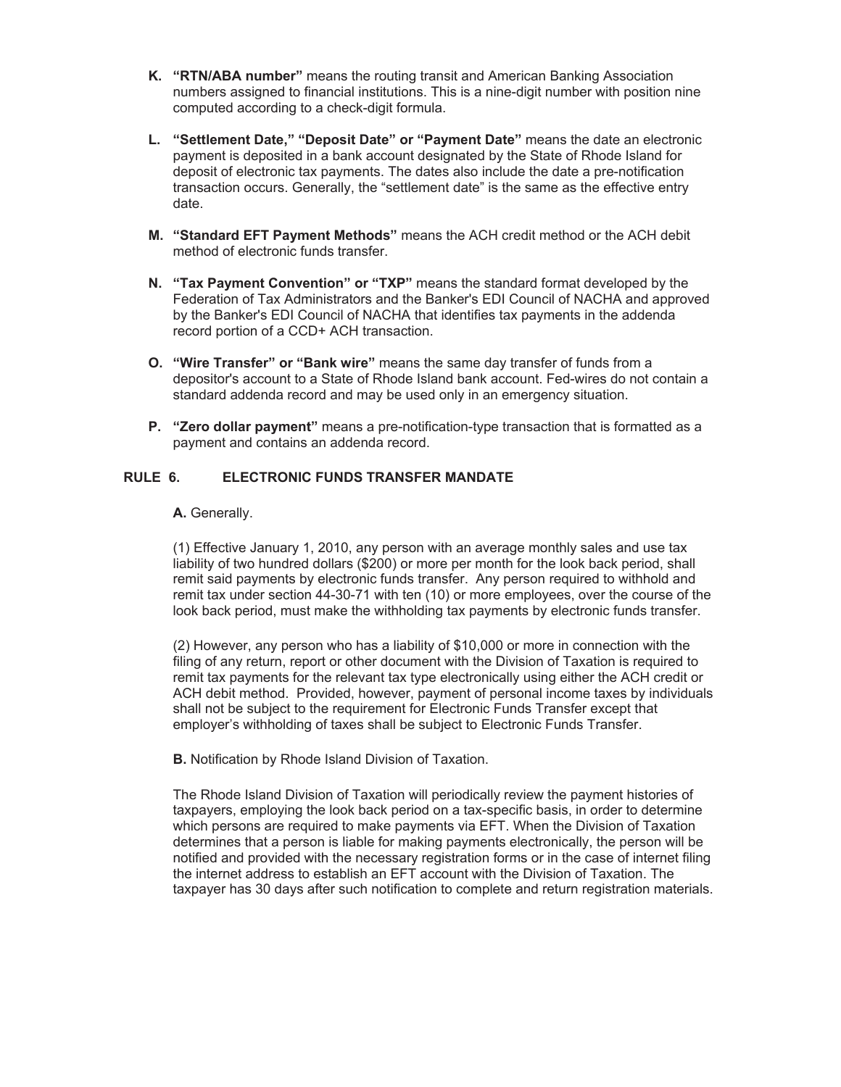- **K. "RTN/ABA number"** means the routing transit and American Banking Association numbers assigned to financial institutions. This is a nine-digit number with position nine computed according to a check-digit formula.
- **L. "Settlement Date," "Deposit Date" or "Payment Date"** means the date an electronic payment is deposited in a bank account designated by the State of Rhode Island for deposit of electronic tax payments. The dates also include the date a pre-notification transaction occurs. Generally, the "settlement date" is the same as the effective entry date.
- **M. "Standard EFT Payment Methods"** means the ACH credit method or the ACH debit method of electronic funds transfer.
- **N. "Tax Payment Convention" or "TXP"** means the standard format developed by the Federation of Tax Administrators and the Banker's EDI Council of NACHA and approved by the Banker's EDI Council of NACHA that identifies tax payments in the addenda record portion of a CCD+ ACH transaction.
- **O. "Wire Transfer" or "Bank wire"** means the same day transfer of funds from a depositor's account to a State of Rhode Island bank account. Fed-wires do not contain a standard addenda record and may be used only in an emergency situation.
- **P. "Zero dollar payment"** means a pre-notification-type transaction that is formatted as a payment and contains an addenda record.

### **RULE 6. ELECTRONIC FUNDS TRANSFER MANDATE**

#### **A.** Generally.

(1) Effective January 1, 2010, any person with an average monthly sales and use tax liability of two hundred dollars (\$200) or more per month for the look back period, shall remit said payments by electronic funds transfer. Any person required to withhold and remit tax under section 44-30-71 with ten (10) or more employees, over the course of the look back period, must make the withholding tax payments by electronic funds transfer.

(2) However, any person who has a liability of \$10,000 or more in connection with the filing of any return, report or other document with the Division of Taxation is required to remit tax payments for the relevant tax type electronically using either the ACH credit or ACH debit method. Provided, however, payment of personal income taxes by individuals shall not be subject to the requirement for Electronic Funds Transfer except that employer's withholding of taxes shall be subject to Electronic Funds Transfer.

**B.** Notification by Rhode Island Division of Taxation.

The Rhode Island Division of Taxation will periodically review the payment histories of taxpayers, employing the look back period on a tax-specific basis, in order to determine which persons are required to make payments via EFT. When the Division of Taxation determines that a person is liable for making payments electronically, the person will be notified and provided with the necessary registration forms or in the case of internet filing the internet address to establish an EFT account with the Division of Taxation. The taxpayer has 30 days after such notification to complete and return registration materials.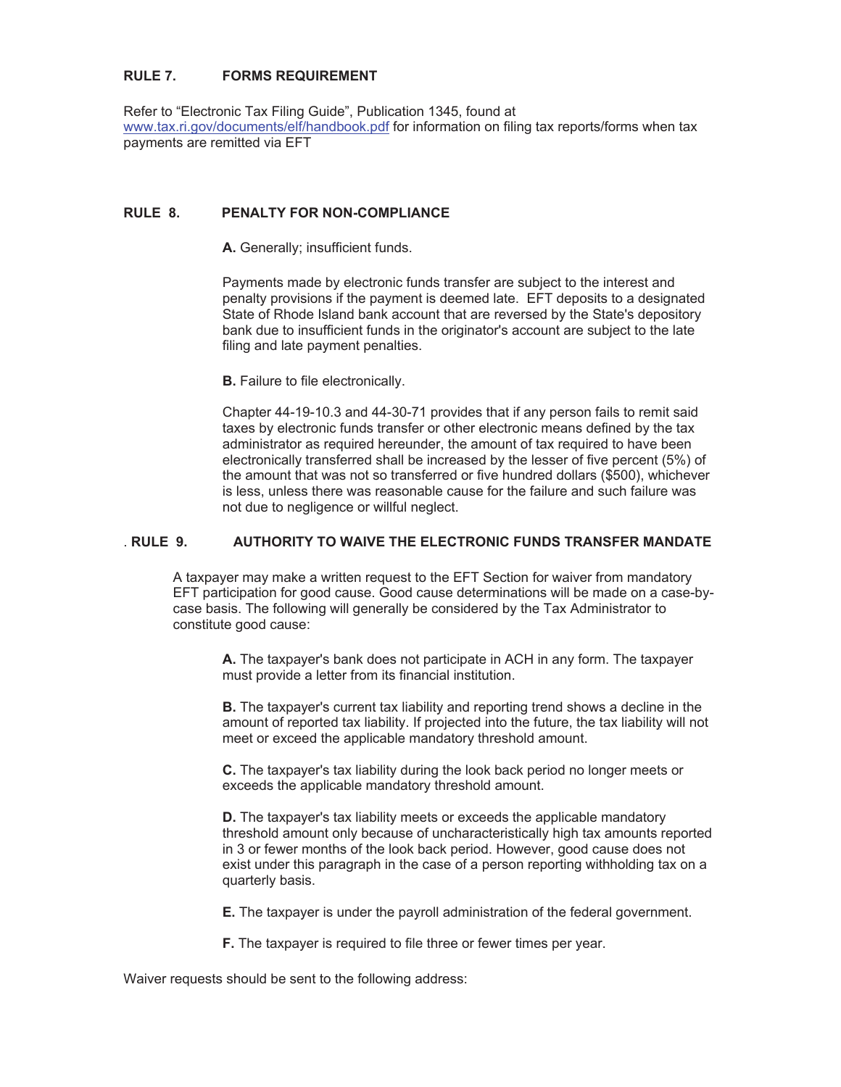## **RULE 7. FORMS REQUIREMENT**

Refer to "Electronic Tax Filing Guide", Publication 1345, found at www.tax.ri.gov/documents/elf/handbook.pdf for information on filing tax reports/forms when tax payments are remitted via EFT

## **RULE 8. PENALTY FOR NON-COMPLIANCE**

**A.** Generally; insufficient funds.

Payments made by electronic funds transfer are subject to the interest and penalty provisions if the payment is deemed late. EFT deposits to a designated State of Rhode Island bank account that are reversed by the State's depository bank due to insufficient funds in the originator's account are subject to the late filing and late payment penalties.

**B.** Failure to file electronically.

Chapter 44-19-10.3 and 44-30-71 provides that if any person fails to remit said taxes by electronic funds transfer or other electronic means defined by the tax administrator as required hereunder, the amount of tax required to have been electronically transferred shall be increased by the lesser of five percent (5%) of the amount that was not so transferred or five hundred dollars (\$500), whichever is less, unless there was reasonable cause for the failure and such failure was not due to negligence or willful neglect.

#### . **RULE 9. AUTHORITY TO WAIVE THE ELECTRONIC FUNDS TRANSFER MANDATE**

A taxpayer may make a written request to the EFT Section for waiver from mandatory EFT participation for good cause. Good cause determinations will be made on a case-bycase basis. The following will generally be considered by the Tax Administrator to constitute good cause:

**A.** The taxpayer's bank does not participate in ACH in any form. The taxpayer must provide a letter from its financial institution.

**B.** The taxpayer's current tax liability and reporting trend shows a decline in the amount of reported tax liability. If projected into the future, the tax liability will not meet or exceed the applicable mandatory threshold amount.

**C.** The taxpayer's tax liability during the look back period no longer meets or exceeds the applicable mandatory threshold amount.

**D.** The taxpayer's tax liability meets or exceeds the applicable mandatory threshold amount only because of uncharacteristically high tax amounts reported in 3 or fewer months of the look back period. However, good cause does not exist under this paragraph in the case of a person reporting withholding tax on a quarterly basis.

**E.** The taxpayer is under the payroll administration of the federal government.

**F.** The taxpayer is required to file three or fewer times per year.

Waiver requests should be sent to the following address: